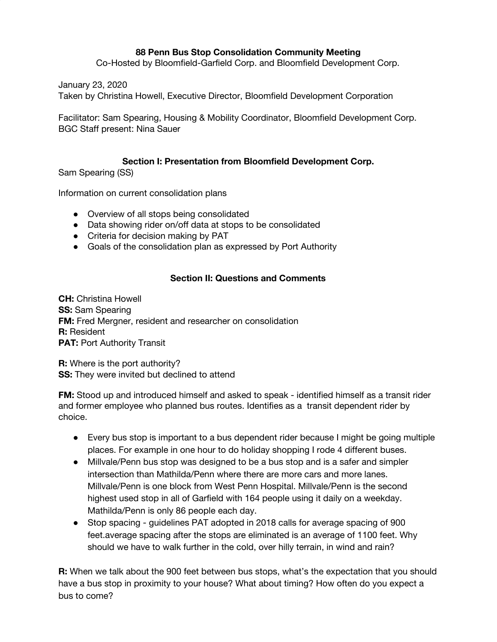## **88 Penn Bus Stop Consolidation Community Meeting**

Co-Hosted by Bloomfield-Garfield Corp. and Bloomfield Development Corp.

January 23, 2020

Taken by Christina Howell, Executive Director, Bloomfield Development Corporation

Facilitator: Sam Spearing, Housing & Mobility Coordinator, Bloomfield Development Corp. BGC Staff present: Nina Sauer

## **Section I: Presentation from Bloomfield Development Corp.**

Sam Spearing (SS)

Information on current consolidation plans

- Overview of all stops being consolidated
- Data showing rider on/off data at stops to be consolidated
- Criteria for decision making by PAT
- Goals of the consolidation plan as expressed by Port Authority

## **Section II: Questions and Comments**

**CH:** Christina Howell **SS:** Sam Spearing **FM:** Fred Mergner, resident and researcher on consolidation **R:** Resident **PAT: Port Authority Transit** 

**R:** Where is the port authority? **SS:** They were invited but declined to attend

**FM:** Stood up and introduced himself and asked to speak - identified himself as a transit rider and former employee who planned bus routes. Identifies as a transit dependent rider by choice.

- Every bus stop is important to a bus dependent rider because I might be going multiple places. For example in one hour to do holiday shopping I rode 4 different buses.
- Millvale/Penn bus stop was designed to be a bus stop and is a safer and simpler intersection than Mathilda/Penn where there are more cars and more lanes. Millvale/Penn is one block from West Penn Hospital. Millvale/Penn is the second highest used stop in all of Garfield with 164 people using it daily on a weekday. Mathilda/Penn is only 86 people each day.
- Stop spacing guidelines PAT adopted in 2018 calls for average spacing of 900 feet.average spacing after the stops are eliminated is an average of 1100 feet. Why should we have to walk further in the cold, over hilly terrain, in wind and rain?

**R:** When we talk about the 900 feet between bus stops, what's the expectation that you should have a bus stop in proximity to your house? What about timing? How often do you expect a bus to come?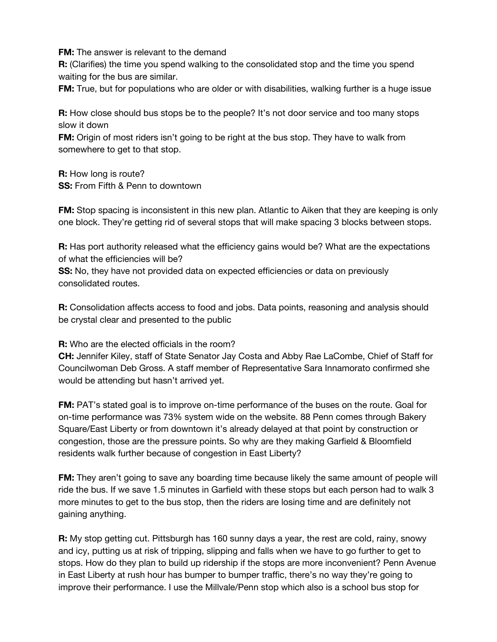**FM:** The answer is relevant to the demand

**R:** (Clarifies) the time you spend walking to the consolidated stop and the time you spend waiting for the bus are similar.

**FM:** True, but for populations who are older or with disabilities, walking further is a huge issue

**R:** How close should bus stops be to the people? It's not door service and too many stops slow it down

**FM:** Origin of most riders isn't going to be right at the bus stop. They have to walk from somewhere to get to that stop.

**R:** How long is route? **SS:** From Fifth & Penn to downtown

**FM:** Stop spacing is inconsistent in this new plan. Atlantic to Aiken that they are keeping is only one block. They're getting rid of several stops that will make spacing 3 blocks between stops.

**R:** Has port authority released what the efficiency gains would be? What are the expectations of what the efficiencies will be?

**SS:** No, they have not provided data on expected efficiencies or data on previously consolidated routes.

**R:** Consolidation affects access to food and jobs. Data points, reasoning and analysis should be crystal clear and presented to the public

**R:** Who are the elected officials in the room?

**CH:** Jennifer Kiley, staff of State Senator Jay Costa and Abby Rae LaCombe, Chief of Staff for Councilwoman Deb Gross. A staff member of Representative Sara Innamorato confirmed she would be attending but hasn't arrived yet.

**FM:** PAT's stated goal is to improve on-time performance of the buses on the route. Goal for on-time performance was 73% system wide on the website. 88 Penn comes through Bakery Square/East Liberty or from downtown it's already delayed at that point by construction or congestion, those are the pressure points. So why are they making Garfield & Bloomfield residents walk further because of congestion in East Liberty?

**FM:** They aren't going to save any boarding time because likely the same amount of people will ride the bus. If we save 1.5 minutes in Garfield with these stops but each person had to walk 3 more minutes to get to the bus stop, then the riders are losing time and are definitely not gaining anything.

**R:** My stop getting cut. Pittsburgh has 160 sunny days a year, the rest are cold, rainy, snowy and icy, putting us at risk of tripping, slipping and falls when we have to go further to get to stops. How do they plan to build up ridership if the stops are more inconvenient? Penn Avenue in East Liberty at rush hour has bumper to bumper traffic, there's no way they're going to improve their performance. I use the Millvale/Penn stop which also is a school bus stop for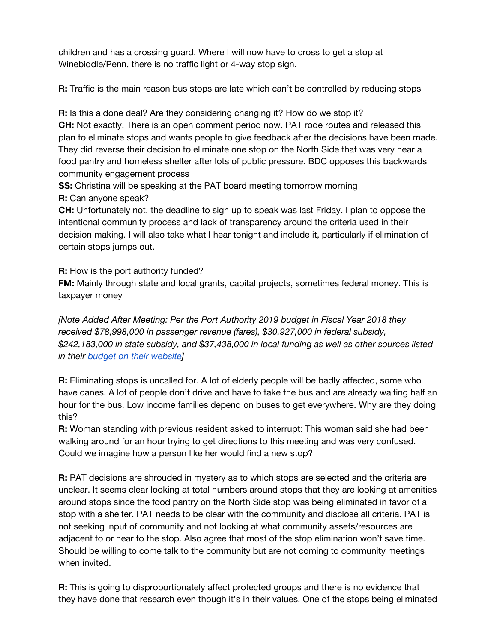children and has a crossing guard. Where I will now have to cross to get a stop at Winebiddle/Penn, there is no traffic light or 4-way stop sign.

**R:** Traffic is the main reason bus stops are late which can't be controlled by reducing stops

**R:** Is this a done deal? Are they considering changing it? How do we stop it? **CH:** Not exactly. There is an open comment period now. PAT rode routes and released this plan to eliminate stops and wants people to give feedback after the decisions have been made. They did reverse their decision to eliminate one stop on the North Side that was very near a food pantry and homeless shelter after lots of public pressure. BDC opposes this backwards community engagement process

**SS:** Christina will be speaking at the PAT board meeting tomorrow morning **R:** Can anyone speak?

**CH:** Unfortunately not, the deadline to sign up to speak was last Friday. I plan to oppose the intentional community process and lack of transparency around the criteria used in their decision making. I will also take what I hear tonight and include it, particularly if elimination of certain stops jumps out.

**R:** How is the port authority funded?

**FM:** Mainly through state and local grants, capital projects, sometimes federal money. This is taxpayer money

*[Note Added After Meeting: Per the Port Authority 2019 budget in Fiscal Year 2018 they received \$78,998,000 in passenger revenue (fares), \$30,927,000 in federal subsidy, \$242,183,000 in state subsidy, and \$37,438,000 in local funding as well as other sources listed in their budget on their [website](https://www.portauthority.org/contentassets/a87b421c115246c29b635b79f090cace/budgetbook2019.pdf)]*

**R:** Eliminating stops is uncalled for. A lot of elderly people will be badly affected, some who have canes. A lot of people don't drive and have to take the bus and are already waiting half an hour for the bus. Low income families depend on buses to get everywhere. Why are they doing this?

**R:** Woman standing with previous resident asked to interrupt: This woman said she had been walking around for an hour trying to get directions to this meeting and was very confused. Could we imagine how a person like her would find a new stop?

**R:** PAT decisions are shrouded in mystery as to which stops are selected and the criteria are unclear. It seems clear looking at total numbers around stops that they are looking at amenities around stops since the food pantry on the North Side stop was being eliminated in favor of a stop with a shelter. PAT needs to be clear with the community and disclose all criteria. PAT is not seeking input of community and not looking at what community assets/resources are adjacent to or near to the stop. Also agree that most of the stop elimination won't save time. Should be willing to come talk to the community but are not coming to community meetings when invited.

**R:** This is going to disproportionately affect protected groups and there is no evidence that they have done that research even though it's in their values. One of the stops being eliminated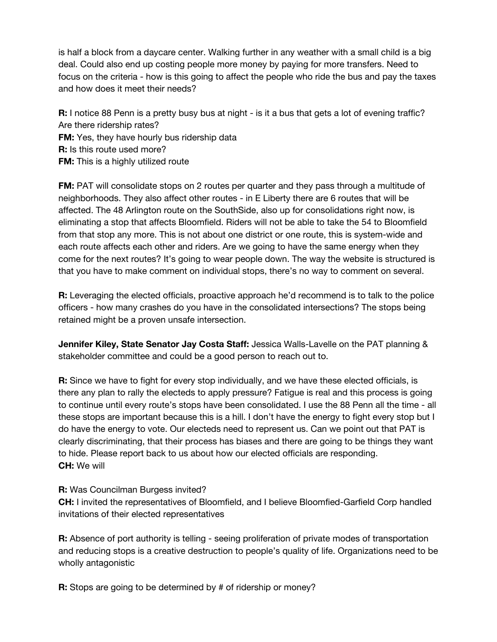is half a block from a daycare center. Walking further in any weather with a small child is a big deal. Could also end up costing people more money by paying for more transfers. Need to focus on the criteria - how is this going to affect the people who ride the bus and pay the taxes and how does it meet their needs?

**R:** I notice 88 Penn is a pretty busy bus at night - is it a bus that gets a lot of evening traffic? Are there ridership rates? **FM:** Yes, they have hourly bus ridership data **R:** Is this route used more? **FM:** This is a highly utilized route

**FM:** PAT will consolidate stops on 2 routes per quarter and they pass through a multitude of neighborhoods. They also affect other routes - in E Liberty there are 6 routes that will be affected. The 48 Arlington route on the SouthSide, also up for consolidations right now, is eliminating a stop that affects Bloomfield. Riders will not be able to take the 54 to Bloomfield from that stop any more. This is not about one district or one route, this is system-wide and each route affects each other and riders. Are we going to have the same energy when they come for the next routes? It's going to wear people down. The way the website is structured is that you have to make comment on individual stops, there's no way to comment on several.

**R:** Leveraging the elected officials, proactive approach he'd recommend is to talk to the police officers - how many crashes do you have in the consolidated intersections? The stops being retained might be a proven unsafe intersection.

**Jennifer Kiley, State Senator Jay Costa Staff:** Jessica Walls-Lavelle on the PAT planning & stakeholder committee and could be a good person to reach out to.

**R:** Since we have to fight for every stop individually, and we have these elected officials, is there any plan to rally the electeds to apply pressure? Fatigue is real and this process is going to continue until every route's stops have been consolidated. I use the 88 Penn all the time - all these stops are important because this is a hill. I don't have the energy to fight every stop but I do have the energy to vote. Our electeds need to represent us. Can we point out that PAT is clearly discriminating, that their process has biases and there are going to be things they want to hide. Please report back to us about how our elected officials are responding. **CH:** We will

## **R:** Was Councilman Burgess invited?

**CH:** I invited the representatives of Bloomfield, and I believe Bloomfied-Garfield Corp handled invitations of their elected representatives

**R:** Absence of port authority is telling - seeing proliferation of private modes of transportation and reducing stops is a creative destruction to people's quality of life. Organizations need to be wholly antagonistic

**R:** Stops are going to be determined by # of ridership or money?